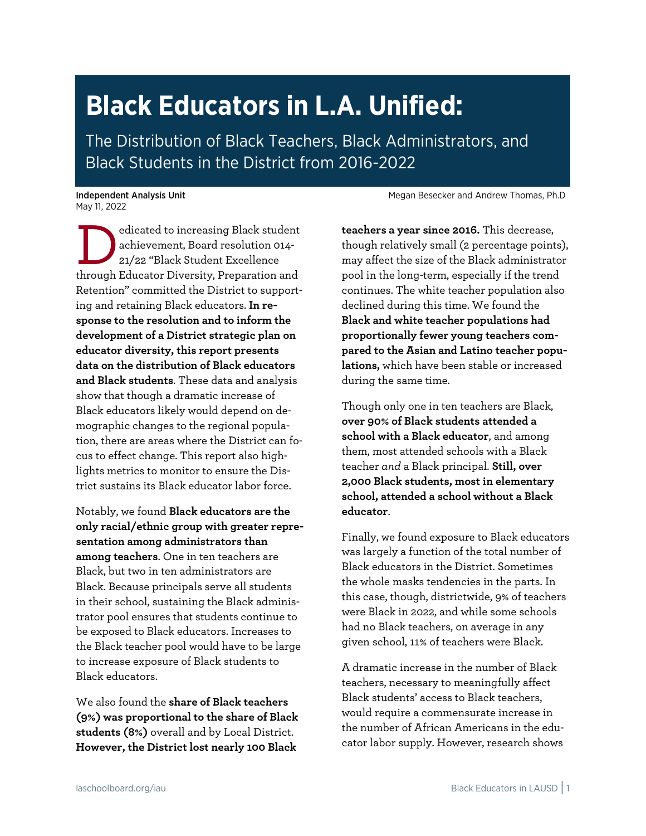# **Black Educators in L.A. Unified:**

The Distribution of Black Teachers, Black Administrators, and Black Students in the District from 2016-2022

May 11, 2022

edicated to increasing Black student achievement, Board resolution 014- 21/22 "Black Student Excellence edicated to increasing Black student<br>achievement, Board resolution 014-<br>21/22 "Black Student Excellence<br>through Educator Diversity, Preparation and Retention" committed the District to supporting and retaining Black educators. **In response to the resolution and to inform the development of a District strategic plan on educator diversity, this report presents data on the distribution of Black educators and Black students**. These data and analysis show that though a dramatic increase of Black educators likely would depend on demographic changes to the regional population, there are areas where the District can focus to effect change. This report also highlights metrics to monitor to ensure the District sustains its Black educator labor force.

Notably, we found **Black educators are the only racial/ethnic group with greater representation among administrators than among teachers**. One in ten teachers are Black, but two in ten administrators are Black. Because principals serve all students in their school, sustaining the Black administrator pool ensures that students continue to be exposed to Black educators. Increases to the Black teacher pool would have to be large to increase exposure of Black students to Black educators.

We also found the **share of Black teachers (9%) was proportional to the share of Black students (8%)** overall and by Local District. **However, the District lost nearly 100 Black** 

Independent Analysis Unit Megan Besecker and Andrew Thomas, Ph.D

**teachers a year since 2016.** This decrease, though relatively small (2 percentage points), may affect the size of the Black administrator pool in the long-term, especially if the trend continues. The white teacher population also declined during this time. We found the **Black and white teacher populations had proportionally fewer young teachers compared to the Asian and Latino teacher populations,** which have been stable or increased during the same time.

Though only one in ten teachers are Black, **over 90% of Black students attended a school with a Black educator**, and among them, most attended schools with a Black teacher *and* a Black principal. **Still, over 2,000 Black students, most in elementary school, attended a school without a Black educator**.

Finally, we found exposure to Black educators was largely a function of the total number of Black educators in the District. Sometimes the whole masks tendencies in the parts. In this case, though, districtwide, 9% of teachers were Black in 2022, and while some schools had no Black teachers, on average in any given school, 11% of teachers were Black.

A dramatic increase in the number of Black teachers, necessary to meaningfully affect Black students' access to Black teachers, would require a commensurate increase in the number of African Americans in the educator labor supply. However, research shows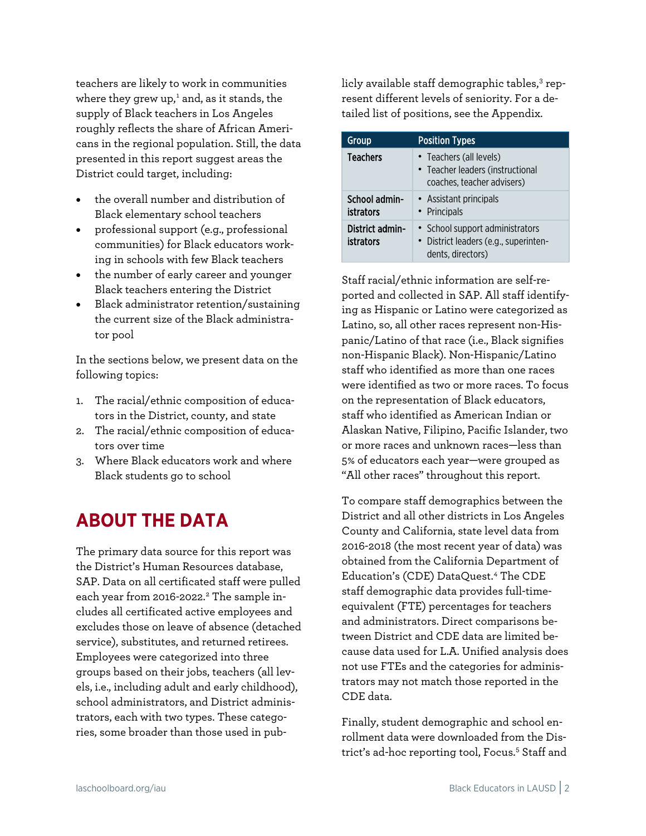teachers are likely to work in communities where they grew up, [1](#page-8-0) and, as it stands, the supply of Black teachers in Los Angeles roughly reflects the share of African Americans in the regional population. Still, the data presented in this report suggest areas the District could target, including:

- the overall number and distribution of Black elementary school teachers
- professional support (e.g., professional communities) for Black educators working in schools with few Black teachers
- the number of early career and younger Black teachers entering the District
- Black administrator retention/sustaining the current size of the Black administrator pool

In the sections below, we present data on the following topics:

- 1. The racial/ethnic composition of educators in the District, county, and state
- 2. The racial/ethnic composition of educators over time
- 3. Where Black educators work and where Black students go to school

# **ABOUT THE DATA**

The primary data source for this report was the District's Human Resources database, SAP. Data on all certificated staff were pulled each year from 2016-2022. [2](#page-8-1) The sample includes all certificated active employees and excludes those on leave of absence (detached service), substitutes, and returned retirees. Employees were categorized into three groups based on their jobs, teachers (all levels, i.e., including adult and early childhood), school administrators, and District administrators, each with two types. These categories, some broader than those used in publicly available staff demographic tables,<sup>[3](#page-8-2)</sup> represent different levels of seniority. For a detailed list of positions, see the Appendix.

| Group                               | <b>Position Types</b>                                                                         |
|-------------------------------------|-----------------------------------------------------------------------------------------------|
| <b>Teachers</b>                     | • Teachers (all levels)<br>• Teacher leaders (instructional<br>coaches, teacher advisers)     |
| School admin-<br><b>istrators</b>   | • Assistant principals<br>• Principals                                                        |
| District admin-<br><b>istrators</b> | • School support administrators<br>· District leaders (e.g., superinten-<br>dents, directors) |

Staff racial/ethnic information are self-reported and collected in SAP. All staff identifying as Hispanic or Latino were categorized as Latino, so, all other races represent non-Hispanic/Latino of that race (i.e., Black signifies non-Hispanic Black). Non-Hispanic/Latino staff who identified as more than one races were identified as two or more races. To focus on the representation of Black educators, staff who identified as American Indian or Alaskan Native, Filipino, Pacific Islander, two or more races and unknown races—less than 5% of educators each year—were grouped as "All other races" throughout this report.

To compare staff demographics between the District and all other districts in Los Angeles County and California, state level data from 2016-2018 (the most recent year of data) was obtained from the California Department of Education's (CDE) DataQuest. [4](#page-8-3) The CDE staff demographic data provides full-timeequivalent (FTE) percentages for teachers and administrators. Direct comparisons between District and CDE data are limited because data used for L.A. Unified analysis does not use FTEs and the categories for administrators may not match those reported in the CDE data.

Finally, student demographic and school enrollment data were downloaded from the Dis-trict's ad-hoc reporting tool, Focus.<sup>[5](#page-8-4)</sup> Staff and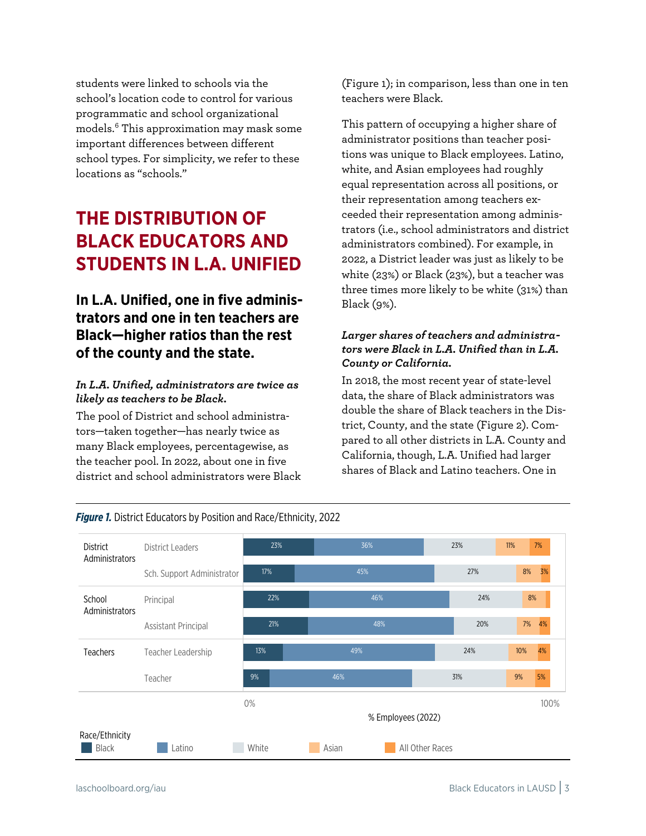students were linked to schools via the school's location code to control for various programmatic and school organizational models. [6](#page-8-5) This approximation may mask some important differences between different school types. For simplicity, we refer to these locations as "schools."

### **THE DISTRIBUTION OF BLACK EDUCATORS AND STUDENTS IN L.A. UNIFIED**

### **In L.A. Unified, one in five administrators and one in ten teachers are Black—higher ratios than the rest of the county and the state.**

#### *In L.A. Unified, administrators are twice as likely as teachers to be Black.*

The pool of District and school administrators—taken together—has nearly twice as many Black employees, percentagewise, as the teacher pool. In 2022, about one in five district and school administrators were Black [\(Figure 1\)](#page-2-0); in comparison, less than one in ten teachers were Black.

This pattern of occupying a higher share of administrator positions than teacher positions was unique to Black employees. Latino, white, and Asian employees had roughly equal representation across all positions, or their representation among teachers exceeded their representation among administrators (i.e., school administrators and district administrators combined). For example, in 2022, a District leader was just as likely to be white (23%) or Black (23%), but a teacher was three times more likely to be white (31%) than Black (9%).

#### *Larger shares of teachers and administrators were Black in L.A. Unified than in L.A. County or California.*

In 2018, the most recent year of state-level data, the share of Black administrators was double the share of Black teachers in the District, County, and the state [\(Figure 2\)](#page-3-0). Compared to all other districts in L.A. County and California, though, L.A. Unified had larger shares of Black and Latino teachers. One in



<span id="page-2-0"></span>*Figure 1.* District Educators by Position and Race/Ethnicity, 2022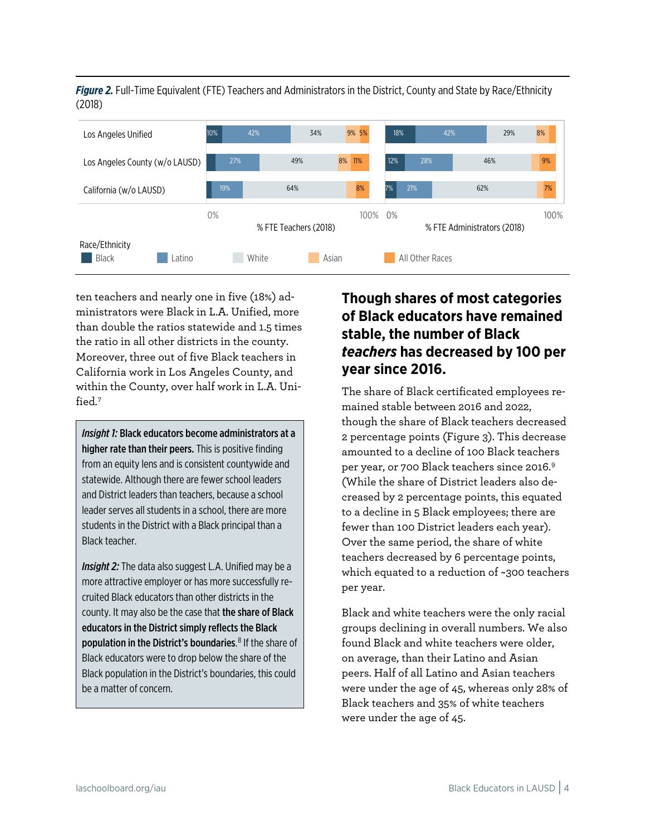<span id="page-3-0"></span>*Figure 2.* Full-Time Equivalent (FTE) Teachers and Administrators in the District, County and State by Race/Ethnicity (2018)



ten teachers and nearly one in five (18%) administrators were Black in L.A. Unified, more than double the ratios statewide and 1.5 times the ratio in all other districts in the county. Moreover, three out of five Black teachers in California work in Los Angeles County, and within the County, over half work in L.A. Unified.[7](#page-8-6)

*Insight 1:* Black educators become administrators at a higher rate than their peers. This is positive finding from an equity lens and is consistent countywide and statewide. Although there are fewer school leaders and District leaders than teachers, because a school leader serves all students in a school, there are more students in the District with a Black principal than a Black teacher.

*Insight 2:* The data also suggest L.A. Unified may be a more attractive employer or has more successfully recruited Black educators than other districts in the county. It may also be the case that the share of Black educators in the District simply reflects the Black population in the District's boundaries. [8](#page-8-1) If the share of Black educators were to drop below the share of the Black population in the District's boundaries, this could be a matter of concern.

### **Though shares of most categories of Black educators have remained stable, the number of Black**  *teachers* **has decreased by 100 per year since 2016.**

The share of Black certificated employees remained stable between 2016 and 2022, though the share of Black teachers decreased 2 percentage points [\(Figure 3\)](#page-4-0). This decrease amounted to a decline of 100 Black teachers per year, or 700 Black teachers since 2016.[9](#page-8-3) (While the share of District leaders also decreased by 2 percentage points, this equated to a decline in 5 Black employees; there are fewer than 100 District leaders each year). Over the same period, the share of white teachers decreased by 6 percentage points, which equated to a reduction of ~300 teachers per year.

Black and white teachers were the only racial groups declining in overall numbers. We also found Black and white teachers were older, on average, than their Latino and Asian peers. Half of all Latino and Asian teachers were under the age of 45, whereas only 28% of Black teachers and 35% of white teachers were under the age of 45.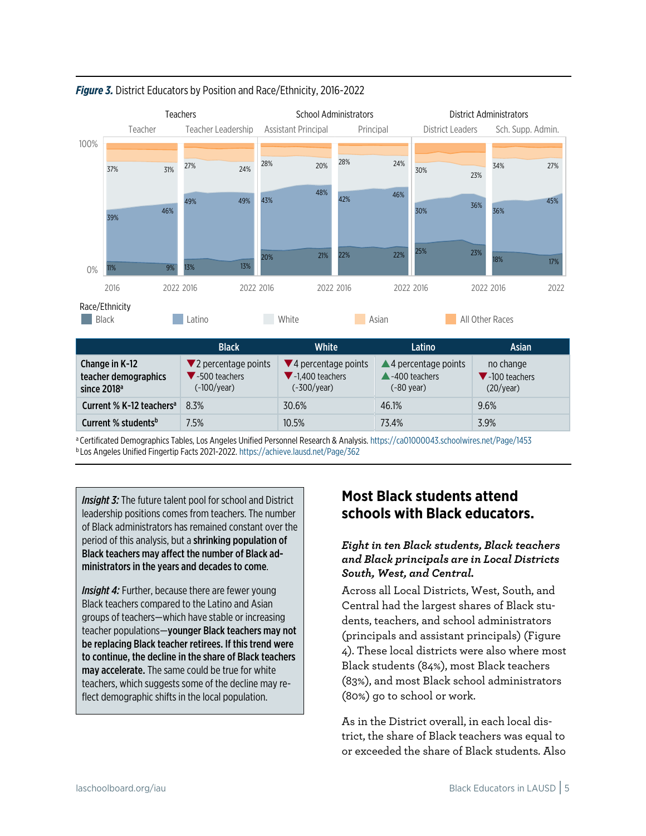

<span id="page-4-0"></span>*Figure 3.* District Educators by Position and Race/Ethnicity, 2016-2022

a Certificated Demographics Tables, Los Angeles Unified Personnel Research & Analysis[. https://ca01000043.schoolwires.net/Page/1453](https://ca01000043.schoolwires.net/Page/1453) <sup>b</sup> Los Angeles Unified Fingertip Facts 2021-2022[. https://achieve.lausd.net/Page/362](https://achieve.lausd.net/Page/362)

**Insight 3:** The future talent pool for school and District leadership positions comes from teachers. The number of Black administrators has remained constant over the period of this analysis, but a shrinking population of Black teachers may affect the number of Black administrators in the years and decades to come.

*Insight 4:* Further, because there are fewer young Black teachers compared to the Latino and Asian groups of teachers—which have stable or increasing teacher populations—younger Black teachers may not be replacing Black teacher retirees. If this trend were to continue, the decline in the share of Black teachers may accelerate. The same could be true for white teachers, which suggests some of the decline may reflect demographic shifts in the local population.

### **Most Black students attend schools with Black educators.**

#### *Eight in ten Black students, Black teachers and Black principals are in Local Districts South, West, and Central.*

Across all Local Districts, West, South, and Central had the largest shares of Black students, teachers, and school administrators (principals and assistant principals) [\(Figure](#page-5-0)  [4\)](#page-5-0). These local districts were also where most Black students (84%), most Black teachers (83%), and most Black school administrators (80%) go to school or work.

As in the District overall, in each local district, the share of Black teachers was equal to or exceeded the share of Black students. Also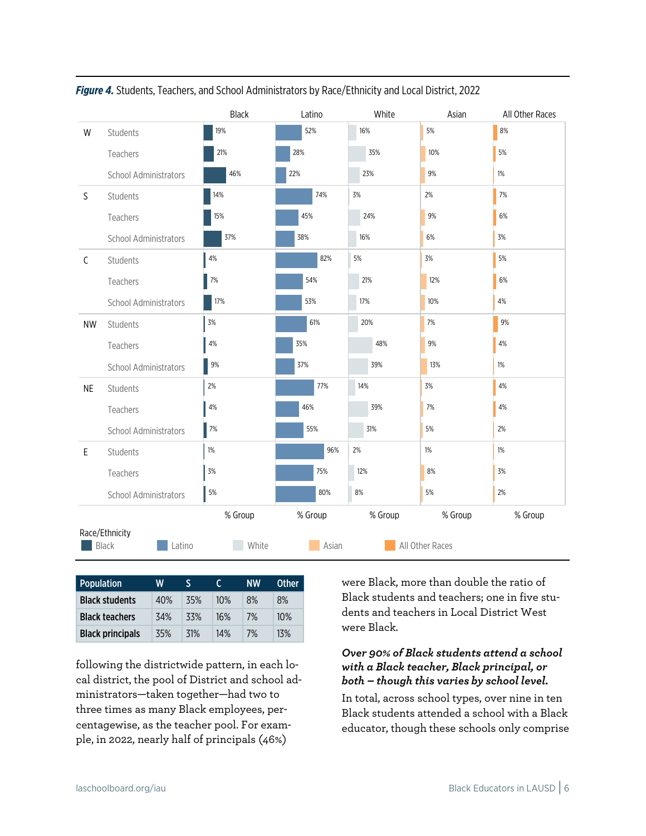|              |                                          | Black   | White<br>Latino |         | Asian           | All Other Races |
|--------------|------------------------------------------|---------|-----------------|---------|-----------------|-----------------|
| W            | Students                                 | 19%     | 52%             | 16%     | 5%              | 8%              |
|              | Teachers                                 | 21%     | 28%             | 35%     | 10%             | 5%              |
|              | School Administrators                    | 46%     | 22%             | 23%     | 9%              | 1%              |
| $\mathsf{S}$ | Students                                 | 14%     | 74%             | 3%      | 2%              | 7%              |
|              | Teachers                                 | 15%     | 45%             | 24%     | 9%              | 6%              |
|              | <b>School Administrators</b>             | 37%     | 38%             | 16%     | 6%              | 3%              |
| $\mathsf C$  | Students                                 | 4%      | 82%<br>5%       |         | 3%              | 5%              |
|              | Teachers                                 | $7%$    | 54%             | 21%     | 12%             | 6%              |
|              | School Administrators                    | 17%     | 53%             | 17%     | 10%             | 4%              |
| <b>NW</b>    | Students                                 | $3%$    | 61%             | 20%     | 7%              | $9\%$           |
|              | Teachers                                 | $4\%$   | 35%             | 48%     | 9%              | 4%              |
|              | School Administrators                    | 9%      | 37%             | 39%     | 13%             | 1%              |
| <b>NE</b>    | Students                                 | 2%      | 77%             | 14%     | 3%              | $4\%$           |
|              | Teachers                                 | 4%      | 46%             | 39%     | 7%              | 4%              |
|              | School Administrators                    | $7\%$   | 55%             | 31%     | 5%              | 2%              |
| $\mathsf E$  | Students                                 | $1\%$   | 96%             | 2%      | $1\%$           | $1\%$           |
|              | Teachers                                 | 3%      | 75%             | 12%     | $8%$            | $3%$            |
|              | School Administrators                    | $5%$    | 80%             | 8%      | 5%              | 2%              |
|              |                                          | % Group | % Group         | % Group | % Group         | % Group         |
|              | Race/Ethnicity<br>Latino<br><b>Black</b> | White   | Asian           |         | All Other Races |                 |

#### <span id="page-5-0"></span>*Figure 4.* Students, Teachers, and School Administrators by Race/Ethnicity and Local District, 2022

| <b>Population</b>       | W   | S   |     | <b>NW</b> | <b>Other</b> |
|-------------------------|-----|-----|-----|-----------|--------------|
| <b>Black students</b>   | 40% | 35% | 10% | 8%        | 8%           |
| <b>Black teachers</b>   | 34% | 33% | 16% | 7%        | 10%          |
| <b>Black principals</b> | 35% | 31% | 14% | 7%        | 13%          |

following the districtwide pattern, in each local district, the pool of District and school administrators—taken together—had two to three times as many Black employees, percentagewise, as the teacher pool. For example, in 2022, nearly half of principals (46%)

were Black, more than double the ratio of Black students and teachers; one in five students and teachers in Local District West were Black.

#### *Over 90% of Black students attend a school with a Black teacher, Black principal, or both – though this varies by school level.*

In total, across school types, over nine in ten Black students attended a school with a Black educator, though these schools only comprise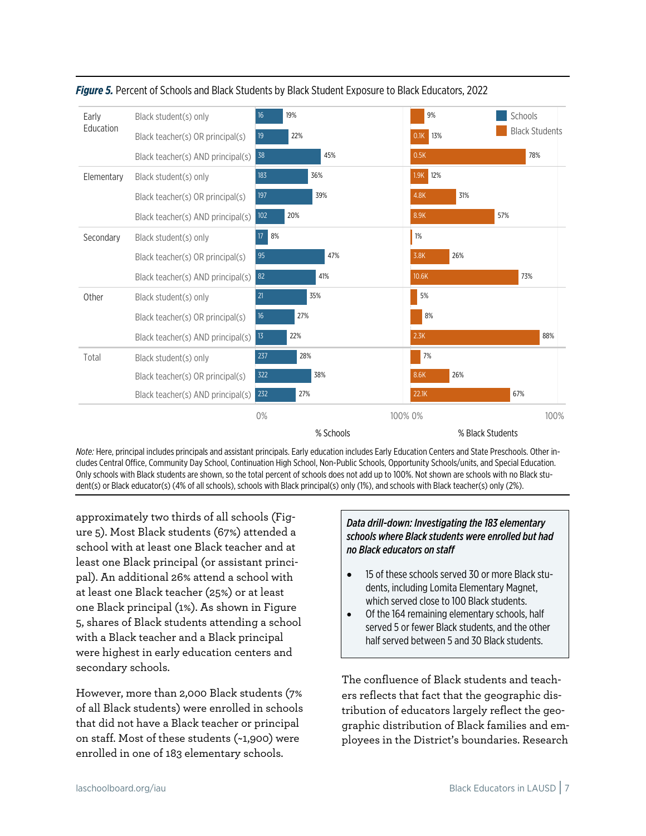

<span id="page-6-0"></span>

*Note:* Here, principal includes principals and assistant principals. Early education includes Early Education Centers and State Preschools. Other includes Central Office, Community Day School, Continuation High School, Non-Public Schools, Opportunity Schools/units, and Special Education. Only schools with Black students are shown, so the total percent of schools does not add up to 100%. Not shown are schools with no Black student(s) or Black educator(s) (4% of all schools), schools with Black principal(s) only (1%), and schools with Black teacher(s) only (2%).

approximately two thirds of all schools [\(Fig](#page-6-0)[ure 5\)](#page-6-0). Most Black students (67%) attended a school with at least one Black teacher and at least one Black principal (or assistant principal). An additional 26% attend a school with at least one Black teacher (25%) or at least one Black principal (1%). As shown in [Figure](#page-6-0)  [5,](#page-6-0) shares of Black students attending a school with a Black teacher and a Black principal were highest in early education centers and secondary schools.

However, more than 2,000 Black students (7% of all Black students) were enrolled in schools that did not have a Black teacher or principal on staff. Most of these students (~1,900) were enrolled in one of 183 elementary schools.

#### *Data drill-down: Investigating the 183 elementary schools where Black students were enrolled but had no Black educators on staff*

- 15 of these schools served 30 or more Black students, including Lomita Elementary Magnet, which served close to 100 Black students.
- Of the 164 remaining elementary schools, half served 5 or fewer Black students, and the other half served between 5 and 30 Black students.

The confluence of Black students and teachers reflects that fact that the geographic distribution of educators largely reflect the geographic distribution of Black families and employees in the District's boundaries. Research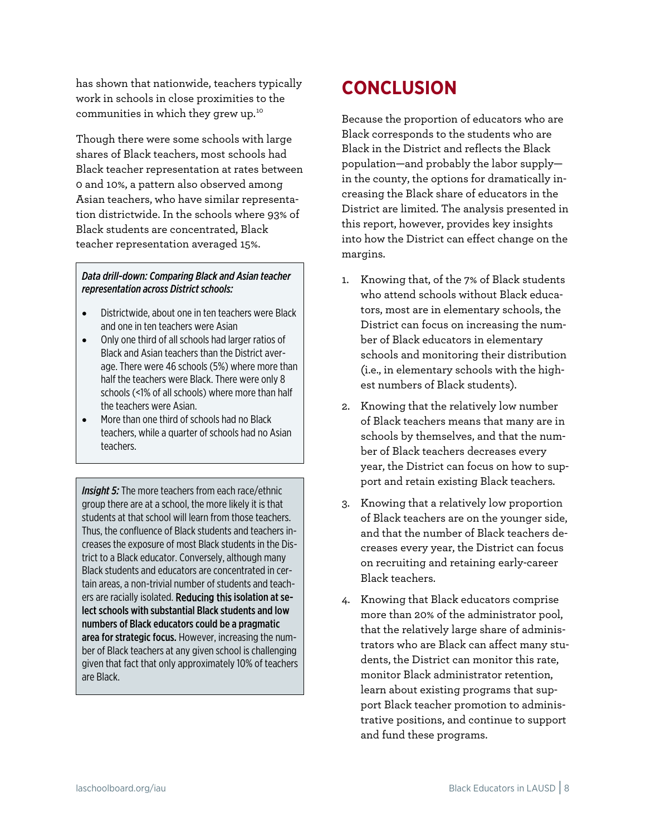has shown that nationwide, teachers typically work in schools in close proximities to the communities in which they grew up.[10](#page-8-7)

Though there were some schools with large shares of Black teachers, most schools had Black teacher representation at rates between 0 and 10%, a pattern also observed among Asian teachers, who have similar representation districtwide. In the schools where 93% of Black students are concentrated, Black teacher representation averaged 15%.

#### *Data drill-down: Comparing Black and Asian teacher representation across District schools:*

- Districtwide, about one in ten teachers were Black and one in ten teachers were Asian
- Only one third of all schools had larger ratios of Black and Asian teachers than the District average. There were 46 schools (5%) where more than half the teachers were Black. There were only 8 schools (<1% of all schools) where more than half the teachers were Asian.
- More than one third of schools had no Black teachers, while a quarter of schools had no Asian teachers.

*Insight 5:* The more teachers from each race/ethnic group there are at a school, the more likely it is that students at that school will learn from those teachers. Thus, the confluence of Black students and teachers increases the exposure of most Black students in the District to a Black educator. Conversely, although many Black students and educators are concentrated in certain areas, a non-trivial number of students and teachers are racially isolated. Reducing this isolation at select schools with substantial Black students and low numbers of Black educators could be a pragmatic area for strategic focus. However, increasing the number of Black teachers at any given school is challenging given that fact that only approximately 10% of teachers are Black.

# **CONCLUSION**

Because the proportion of educators who are Black corresponds to the students who are Black in the District and reflects the Black population—and probably the labor supply in the county, the options for dramatically increasing the Black share of educators in the District are limited. The analysis presented in this report, however, provides key insights into how the District can effect change on the margins.

- 1. Knowing that, of the 7% of Black students who attend schools without Black educators, most are in elementary schools, the District can focus on increasing the number of Black educators in elementary schools and monitoring their distribution (i.e., in elementary schools with the highest numbers of Black students).
- 2. Knowing that the relatively low number of Black teachers means that many are in schools by themselves, and that the number of Black teachers decreases every year, the District can focus on how to support and retain existing Black teachers.
- 3. Knowing that a relatively low proportion of Black teachers are on the younger side, and that the number of Black teachers decreases every year, the District can focus on recruiting and retaining early-career Black teachers.
- 4. Knowing that Black educators comprise more than 20% of the administrator pool, that the relatively large share of administrators who are Black can affect many students, the District can monitor this rate, monitor Black administrator retention, learn about existing programs that support Black teacher promotion to administrative positions, and continue to support and fund these programs.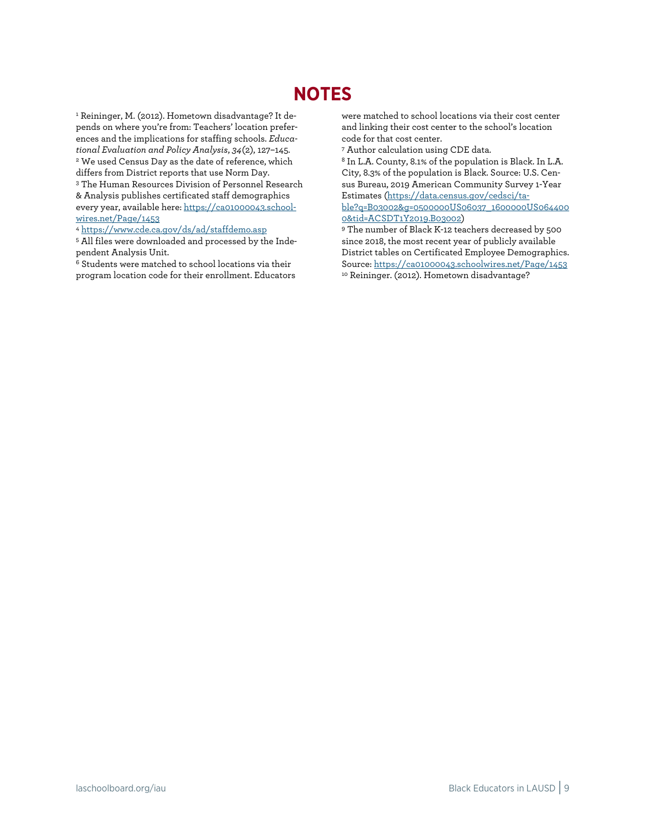### **NOTES**

<span id="page-8-6"></span><span id="page-8-0"></span><sup>1</sup> Reininger, M. (2012). Hometown disadvantage? It depends on where you're from: Teachers' location preferences and the implications for staffing schools. *Educational Evaluation and Policy Analysis*, *34*(2), 127–145. <sup>2</sup> We used Census Day as the date of reference, which differs from District reports that use Norm Day. 3 The Human Resources Division of Personnel Research

<span id="page-8-2"></span><span id="page-8-1"></span>& Analysis publishes certificated staff demographics every year, available here[: https://ca01000043.school](https://ca01000043.schoolwires.net/Page/1453)[wires.net/Page/1453](https://ca01000043.schoolwires.net/Page/1453)

<span id="page-8-3"></span><sup>4</sup> <https://www.cde.ca.gov/ds/ad/staffdemo.asp>

<span id="page-8-4"></span><sup>5</sup> All files were downloaded and processed by the Inde-<br>pendent Analysis Unit.

<span id="page-8-7"></span><span id="page-8-5"></span> $6$  Students were matched to school locations via their program location code for their enrollment. Educators were matched to school locations via their cost center and linking their cost center to the school's location code for that cost center.

<sup>7</sup> Author calculation using CDE data.

<sup>8</sup> In L.A. County, 8.1% of the population is Black. In L.A. City, 8.3% of the population is Black. Source: U.S. Census Bureau, 2019 American Community Survey 1-Year Estimates [\(https://data.census.gov/cedsci/ta](https://data.census.gov/cedsci/table?q=B03002&g=0500000US06037_1600000US0644000&tid=ACSDT1Y2019.B03002)[ble?q=B03002&g=0500000US06037\\_1600000US064400](https://data.census.gov/cedsci/table?q=B03002&g=0500000US06037_1600000US0644000&tid=ACSDT1Y2019.B03002)

0&tid=ACSDT1Y2019.B03002<mark>)</mark><br>9 The number of Black K-12 teachers decreased by 500 since 2018, the most recent year of publicly available District tables on Certificated Employee Demographics. Source:<https://ca01000043.schoolwires.net/Page/1453> <sup>10</sup> Reininger. (2012). Hometown disadvantage?